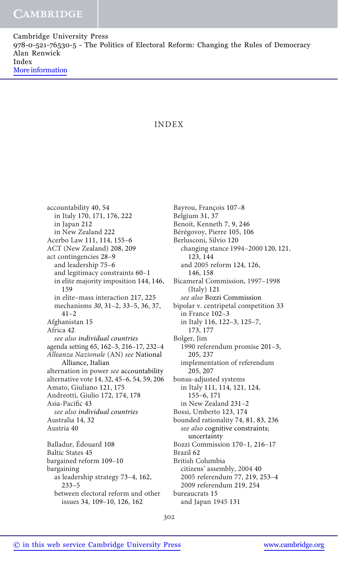Cambridge University Press 978-0-521-76530-5 - The Politics of Electoral Reform: Changing the Rules of Democracy Alan Renwick Index [More information](http://www.cambridge.org/9780521765305)

## INDEX

accountability 40, 54 in Italy 170, 171, 176, 222 in Japan 212 in New Zealand 222 Acerbo Law 111, 114, 155–6 ACT (New Zealand) 208, 209 act contingencies 28–9 and leadership 75–6 and legitimacy constraints 60–1 in elite majority imposition 144, 146, 159 in elite–mass interaction 217, 225 mechanisms 30, 31–2, 33–5, 36, 37, 41–2 Afghanistan 15 Africa 42 see also individual countries agenda setting 65, 162–3, 216–17, 232–4 Alleanza Nazionale (AN) see National Alliance, Italian alternation in power see accountability alternative vote 14, 32, 45–6, 54, 59, 206 Amato, Giuliano 121, 175 Andreotti, Giulio 172, 174, 178 Asia-Pacific 43 see also individual countries Australia 14, 32 Austria 40 Balladur, Édouard 108 Baltic States 45 bargained reform 109–10 bargaining as leadership strategy 73–4, 162, 233–5 between electoral reform and other

Bayrou, François 107–8 Belgium 31, 37 Benoit, Kenneth 7, 9, 246 Bérégovoy, Pierre 105, 106 Berlusconi, Silvio 120 changing stance 1994–2000 120, 121, 123, 144 and 2005 reform 124, 126, 146, 158 Bicameral Commission, 1997–1998 (Italy) 121 see also Bozzi Commission bipolar v. centripetal competition 33 in France 102–3 in Italy 116, 122–3, 125–7, 173, 177 Bolger, Jim 1990 referendum promise 201–3, 205, 237 implementation of referendum 205, 207 bonus-adjusted systems in Italy 111, 114, 121, 124, 155–6, 171 in New Zealand 231–2 Bossi, Umberto 123, 174 bounded rationality 74, 81, 83, 236 see also cognitive constraints; uncertainty Bozzi Commission 170–1, 216–17 Brazil 62 British Columbia citizens' assembly, 2004 40 2005 referendum 77, 219, 253–4 2009 referendum 219, 254 bureaucrats 15 and Japan 1945 131

issues 34, 109–10, 126, 162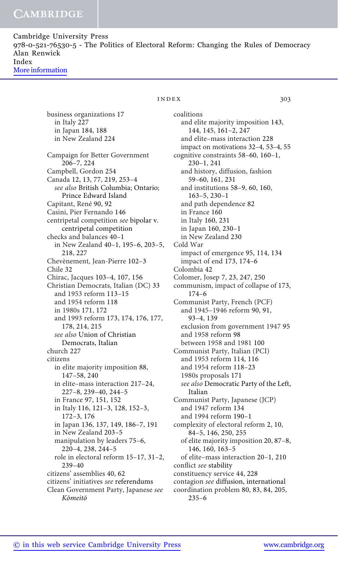Cambridge University Press 978-0-521-76530-5 - The Politics of Electoral Reform: Changing the Rules of Democracy Alan Renwick Index [More information](http://www.cambridge.org/9780521765305)

## index 303

business organizations 17 in Italy 227 in Japan 184, 188 in New Zealand 224 Campaign for Better Government 206–7, 224 Campbell, Gordon 254 Canada 12, 13, 77, 219, 253–4 see also British Columbia; Ontario; Prince Edward Island Capitant, René 90, 92 Casini, Pier Fernando 146 centripetal competition see bipolar v. centripetal competition checks and balances 40–1 in New Zealand 40–1, 195–6, 203–5, 218, 227 Chevènement, Jean-Pierre 102–3 Chile 32 Chirac, Jacques 103–4, 107, 156 Christian Democrats, Italian (DC) 33 and 1953 reform 113–15 and 1954 reform 118 in 1980s 171, 172 and 1993 reform 173, 174, 176, 177, 178, 214, 215 see also Union of Christian Democrats, Italian church 227 citizens in elite majority imposition 88, 147–58, 240 in elite–mass interaction 217–24, 227–8, 239–40, 244–5 in France 97, 151, 152 in Italy 116, 121–3, 128, 152–3, 172–3, 176 in Japan 136, 137, 149, 186–7, 191 in New Zealand 203–5 manipulation by leaders 75–6, 220–4, 238, 244–5 role in electoral reform 15–17, 31–2, 239–40 citizens' assemblies 40, 62 citizens' initiatives see referendums Clean Government Party, Japanese see Kōmeitō

coalitions and elite majority imposition 143, 144, 145, 161–2, 247 and elite–mass interaction 228 impact on motivations 32–4, 53–4, 55 cognitive constraints 58–60, 160–1, 230–1, 241 and history, diffusion, fashion 59–60, 161, 231 and institutions 58–9, 60, 160, 163–5, 230–1 and path dependence 82 in France 160 in Italy 160, 231 in Japan 160, 230–1 in New Zealand 230 Cold War impact of emergence 95, 114, 134 impact of end 173, 174–6 Colombia 42 Colomer, Josep 7, 23, 247, 250 communism, impact of collapse of 173, 174–6 Communist Party, French (PCF) and 1945–1946 reform 90, 91, 93–4, 139 exclusion from government 1947 95 and 1958 reform 98 between 1958 and 1981 100 Communist Party, Italian (PCI) and 1953 reform 114, 116 and 1954 reform 118–23 1980s proposals 171 see also Democratic Party of the Left, Italian Communist Party, Japanese (JCP) and 1947 reform 134 and 1994 reform 190–1 complexity of electoral reform 2, 10, 84–5, 146, 250, 255 of elite majority imposition 20, 87–8, 146, 160, 163–5 of elite–mass interaction 20–1, 210 conflict see stability constituency service 44, 228 contagion see diffusion, international coordination problem 80, 83, 84, 205, 235–6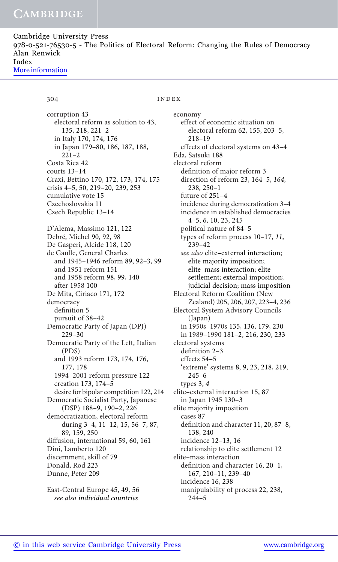Cambridge University Press 978-0-521-76530-5 - The Politics of Electoral Reform: Changing the Rules of Democracy Alan Renwick Index [More information](http://www.cambridge.org/9780521765305)

## 304 **index**

corruption 43 electoral reform as solution to 43, 135, 218, 221–2 in Italy 170, 174, 176 in Japan 179–80, 186, 187, 188, 221–2 Costa Rica 42 courts 13–14 Craxi, Bettino 170, 172, 173, 174, 175 crisis 4–5, 50, 219–20, 239, 253 cumulative vote 15 Czechoslovakia 11 Czech Republic 13–14 D'Alema, Massimo 121, 122 Debré, Michel 90, 92, 98 De Gasperi, Alcide 118, 120 de Gaulle, General Charles and 1945–1946 reform 89, 92–3, 99 and 1951 reform 151 and 1958 reform 98, 99, 140 after 1958 100 De Mita, Ciriaco 171, 172 democracy definition 5 pursuit of 38–42 Democratic Party of Japan (DPJ) 229–30 Democratic Party of the Left, Italian (PDS) and 1993 reform 173, 174, 176, 177, 178 1994–2001 reform pressure 122 creation 173, 174–5 desire for bipolar competition 122, 214 Democratic Socialist Party, Japanese (DSP) 188–9, 190–2, 226 democratization, electoral reform during 3–4, 11–12, 15, 56–7, 87, 89, 159, 250 diffusion, international 59, 60, 161 Dini, Lamberto 120 discernment, skill of 79 Donald, Rod 223 Dunne, Peter 209 East-Central Europe 45, 49, 56

see also individual countries

economy effect of economic situation on electoral reform 62, 155, 203–5, 218–19 effects of electoral systems on 43–4 Eda, Satsuki 188 electoral reform definition of major reform 3 direction of reform 23, 164–5, 164, 238, 250–1 future of 251–4 incidence during democratization 3–4 incidence in established democracies 4–5, 6, 10, 23, 245 political nature of 84–5 types of reform process 10–17, 11, 239–42 see also elite–external interaction; elite majority imposition; elite–mass interaction; elite settlement; external imposition; judicial decision; mass imposition Electoral Reform Coalition (New Zealand) 205, 206, 207, 223–4, 236 Electoral System Advisory Councils (Japan) in 1950s–1970s 135, 136, 179, 230 in 1989–1990 181–2, 216, 230, 233 electoral systems definition 2–3 effects 54–5 'extreme' systems 8, 9, 23, 218, 219, 245–6 types 3, 4 elite–external interaction 15, 87 in Japan 1945 130–3 elite majority imposition cases 87 definition and character 11, 20, 87–8, 138, 240 incidence 12–13, 16 relationship to elite settlement 12 elite–mass interaction definition and character 16, 20–1, 167, 210–11, 239–40 incidence 16, 238 manipulability of process 22, 238, 244–5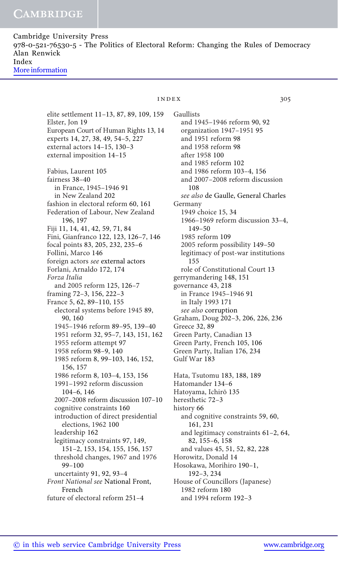Cambridge University Press 978-0-521-76530-5 - The Politics of Electoral Reform: Changing the Rules of Democracy Alan Renwick Index [More information](http://www.cambridge.org/9780521765305)

## elite settlement 11–13, 87, 89, 109, 159 Elster, Jon 19 European Court of Human Rights 13, 14 experts 14, 27, 38, 49, 54–5, 227 external actors 14–15, 130–3 external imposition 14–15 Fabius, Laurent 105 fairness 38–40 in France, 1945–1946 91 in New Zealand 202 fashion in electoral reform 60, 161 Federation of Labour, New Zealand 196, 197 Fiji 11, 14, 41, 42, 59, 71, 84 Fini, Gianfranco 122, 123, 126–7, 146 focal points 83, 205, 232, 235–6 Follini, Marco 146 foreign actors see external actors Forlani, Arnaldo 172, 174 Forza Italia and 2005 reform 125, 126–7 framing 72–3, 156, 222–3 France 5, 62, 89–110, 155 electoral systems before 1945 89, 90, 160 1945–1946 reform 89–95, 139–40 1951 reform 32, 95–7, 143, 151, 162 1955 reform attempt 97 1958 reform 98–9, 140 1985 reform 8, 99–103, 146, 152, 156, 157 1986 reform 8, 103–4, 153, 156 1991–1992 reform discussion 104–6, 146 2007–2008 reform discussion 107–10 cognitive constraints 160 introduction of direct presidential elections, 1962 100 leadership 162 legitimacy constraints 97, 149, 151–2, 153, 154, 155, 156, 157 threshold changes, 1967 and 1976 99–100 uncertainty 91, 92, 93–4 Front National see National Front, French future of electoral reform 251–4

## index 305

Gaullists and 1945–1946 reform 90, 92 organization 1947–1951 95 and 1951 reform 98 and 1958 reform 98 after 1958 100 and 1985 reform 102 and 1986 reform 103–4, 156 and 2007–2008 reform discussion 108 see also de Gaulle, General Charles Germany 1949 choice 15, 34 1966–1969 reform discussion 33–4, 149–50 1985 reform 109 2005 reform possibility 149–50 legitimacy of post-war institutions 155 role of Constitutional Court 13 gerrymandering 148, 151 governance 43, 218 in France 1945–1946 91 in Italy 1993 171 see also corruption Graham, Doug 202–3, 206, 226, 236 Greece 32, 89 Green Party, Canadian 13 Green Party, French 105, 106 Green Party, Italian 176, 234 Gulf War 183 Hata, Tsutomu 183, 188, 189 Hatomander 134–6 Hatoyama, Ichirō 135 heresthetic 72–3 history 66 and cognitive constraints 59, 60, 161, 231 and legitimacy constraints 61–2, 64, 82, 155–6, 158 and values 45, 51, 52, 82, 228 Horowitz, Donald 14 Hosokawa, Morihiro 190–1, 192–3, 234 House of Councillors (Japanese) 1982 reform 180 and 1994 reform 192–3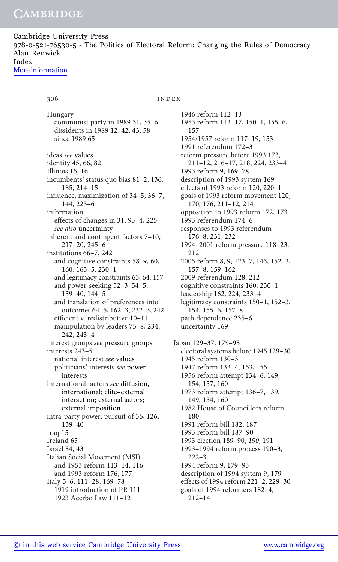Cambridge University Press 978-0-521-76530-5 - The Politics of Electoral Reform: Changing the Rules of Democracy Alan Renwick Index [More information](http://www.cambridge.org/9780521765305)

Hungary

## 306 **index**

communist party in 1989 31, 35–6 dissidents in 1989 12, 42, 43, 58 since 1989 65 ideas see values identity 45, 66, 82 Illinois 15, 16 incumbents' status quo bias 81–2, 136, 185, 214–15 influence, maximization of 34–5, 36–7, 144, 225–6 information effects of changes in 31, 93–4, 225 see also uncertainty inherent and contingent factors 7–10, 217–20, 245–6 institutions 66–7, 242 and cognitive constraints 58–9, 60, 160, 163–5, 230–1 and legitimacy constraints 63, 64, 157 and power-seeking 52–3, 54–5, 139–40, 144–5 and translation of preferences into outcomes 64–5, 162–3, 232–3, 242 efficient v. redistributive 10–11 manipulation by leaders 75–8, 234, 242, 243–4 interest groups see pressure groups interests 243–5 national interest see values politicians' interests see power interests international factors see diffusion, international; elite–external interaction; external actors; external imposition intra-party power, pursuit of 36, 126, 139–40 Iraq 15 Ireland 65 Israel 34, 43 Italian Social Movement (MSI) and 1953 reform 113–14, 116 and 1993 reform 176, 177 Italy 5–6, 111–28, 169–78 1919 introduction of PR 111 1923 Acerbo Law 111–12

1946 reform 112–13 1953 reform 113–17, 150–1, 155–6, 157 1954/1957 reform 117–19, 153 1991 referendum 172–3 reform pressure before 1993 173, 211–12, 216–17, 218, 224, 233–4 1993 reform 9, 169–78 description of 1993 system 169 effects of 1993 reform 120, 220–1 goals of 1993 reform movement 120, 170, 176, 211–12, 214 opposition to 1993 reform 172, 173 1993 referendum 174–6 responses to 1993 referendum 176–8, 231, 232 1994–2001 reform pressure 118–23, 212 2005 reform 8, 9, 123–7, 146, 152–3, 157–8, 159, 162 2009 referendum 128, 212 cognitive constraints 160, 230–1 leadership 162, 224, 233–4 legitimacy constraints 150–1, 152–3, 154, 155–6, 157–8 path dependence 235–6

Japan 129–37, 179–93 electoral systems before 1945 129–30 1945 reform 130–3 1947 reform 133–4, 153, 155 1956 reform attempt 134–6, 149, 154, 157, 160 1973 reform attempt 136–7, 139, 149, 154, 160 1982 House of Councillors reform 180 1991 reform bill 182, 187 1993 reform bill 187–90 1993 election 189–90, 190, 191 1993–1994 reform process 190–3, 222–3 1994 reform 9, 179–93 description of 1994 system 9, 179 effects of 1994 reform 221–2, 229–30 goals of 1994 reformers 182–4, 212–14

uncertainty 169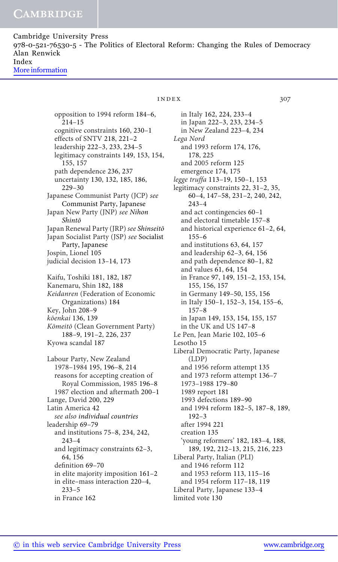Cambridge University Press 978-0-521-76530-5 - The Politics of Electoral Reform: Changing the Rules of Democracy Alan Renwick Index [More information](http://www.cambridge.org/9780521765305)

> opposition to 1994 reform 184–6, 214–15 cognitive constraints 160, 230–1 effects of SNTV 218, 221–2 leadership 222–3, 233, 234–5 legitimacy constraints 149, 153, 154, 155, 157 path dependence 236, 237 uncertainty 130, 132, 185, 186, 229–30 Japanese Communist Party (JCP) see Communist Party, Japanese Japan New Party (JNP) see Nihon Shintō Japan Renewal Party (JRP) see Shinseitō Japan Socialist Party (JSP) see Socialist Party, Japanese Jospin, Lionel 105 judicial decision 13–14, 173 Kaifu, Toshiki 181, 182, 187 Kanemaru, Shin 182, 188 Keidanren (Federation of Economic Organizations) 184 Key, John 208–9 kōenkai 136, 139 Kōmeitō (Clean Government Party) 188–9, 191–2, 226, 237 Kyowa scandal 187 Labour Party, New Zealand 1978–1984 195, 196–8, 214 reasons for accepting creation of Royal Commission, 1985 196–8 1987 election and aftermath 200–1 Lange, David 200, 229 Latin America 42 see also individual countries leadership 69–79 and institutions 75–8, 234, 242, 243–4 and legitimacy constraints 62–3, 64, 156 definition 69–70 in elite majority imposition 161–2 in elite–mass interaction 220–4,

## index 307

in Italy 162, 224, 233–4 in Japan 222–3, 233, 234–5 in New Zealand 223–4, 234 Lega Nord and 1993 reform 174, 176, 178, 225 and 2005 reform 125 emergence 174, 175 legge truffa 113–19, 150–1, 153 legitimacy constraints 22, 31–2, 35, 60–4, 147–58, 231–2, 240, 242, 243–4 and act contingencies 60–1 and electoral timetable 157–8 and historical experience 61–2, 64, 155–6 and institutions 63, 64, 157 and leadership 62–3, 64, 156 and path dependence 80–1, 82 and values 61, 64, 154 in France 97, 149, 151–2, 153, 154, 155, 156, 157 in Germany 149–50, 155, 156 in Italy 150–1, 152–3, 154, 155–6, 157–8 in Japan 149, 153, 154, 155, 157 in the UK and US 147–8 Le Pen, Jean Marie 102, 105–6 Lesotho 15 Liberal Democratic Party, Japanese (LDP) and 1956 reform attempt 135 and 1973 reform attempt 136–7 1973–1988 179–80 1989 report 181 1993 defections 189–90 and 1994 reform 182–5, 187–8, 189, 192–3 after 1994 221 creation 135 'young reformers' 182, 183–4, 188, 189, 192, 212–13, 215, 216, 223 Liberal Party, Italian (PLI) and 1946 reform 112 and 1953 reform 113, 115–16 and 1954 reform 117–18, 119 Liberal Party, Japanese 133–4 limited vote 130

233–5 in France 162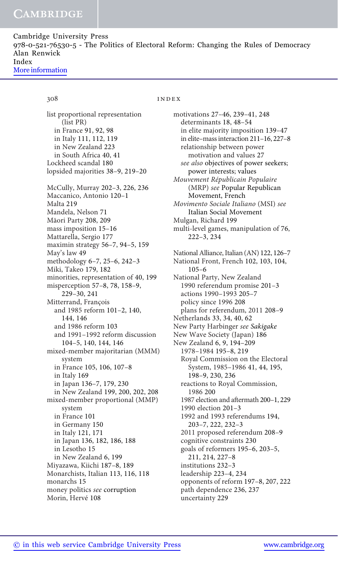Cambridge University Press 978-0-521-76530-5 - The Politics of Electoral Reform: Changing the Rules of Democracy Alan Renwick Index [More information](http://www.cambridge.org/9780521765305)

## 308 **index**

list proportional representation (list PR) in France 91, 92, 98 in Italy 111, 112, 119 in New Zealand 223 in South Africa 40, 41 Lockheed scandal 180 lopsided majorities 38–9, 219–20 McCully, Murray 202–3, 226, 236 Maccanico, Antonio 120–1 Malta 219 Mandela, Nelson 71 Māori Party 208, 209 mass imposition 15–16 Mattarella, Sergio 177 maximin strategy 56–7, 94–5, 159 May's law 49 methodology 6–7, 25–6, 242–3 Miki, Takeo 179, 182 minorities, representation of 40, 199 misperception 57–8, 78, 158–9, 229–30, 241 Mitterrand, François and 1985 reform 101–2, 140, 144, 146 and 1986 reform 103 and 1991–1992 reform discussion 104–5, 140, 144, 146 mixed-member majoritarian (MMM) system in France 105, 106, 107–8 in Italy 169 in Japan 136–7, 179, 230 in New Zealand 199, 200, 202, 208 mixed-member proportional (MMP) system in France 101 in Germany 150 in Italy 121, 171 in Japan 136, 182, 186, 188 in Lesotho 15 in New Zealand 6, 199 Miyazawa, Kiichi 187–8, 189 Monarchists, Italian 113, 116, 118 monarchs 15 money politics see corruption Morin, Hervé 108

motivations 27–46, 239–41, 248 determinants 18, 48–54 in elite majority imposition 139–47 in elite–mass interaction 211–16, 227–8 relationship between power motivation and values 27 see also objectives of power seekers; power interests; values Mouvement Républicain Populaire (MRP) see Popular Republican Movement, French Movimento Sociale Italiano (MSI) see Italian Social Movement Mulgan, Richard 199 multi-level games, manipulation of 76, 222–3, 234 National Alliance, Italian (AN) 122, 126–7 National Front, French 102, 103, 104, 105–6 National Party, New Zealand 1990 referendum promise 201–3 actions 1990–1993 205–7 policy since 1996 208 plans for referendum, 2011 208–9 Netherlands 33, 34, 40, 62 New Party Harbinger see Sakigake New Wave Society (Japan) 186 New Zealand 6, 9, 194–209 1978–1984 195–8, 219 Royal Commission on the Electoral System, 1985–1986 41, 44, 195, 198–9, 230, 236 reactions to Royal Commission, 1986 200 1987 election and aftermath 200–1, 229 1990 election 201–3 1992 and 1993 referendums 194, 203–7, 222, 232–3 2011 proposed referendum 208–9 cognitive constraints 230 goals of reformers 195–6, 203–5, 211, 214, 227–8 institutions 232–3 leadership 223–4, 234 opponents of reform 197–8, 207, 222 path dependence 236, 237 uncertainty 229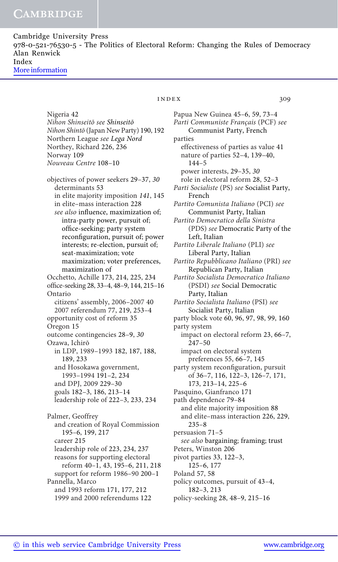Cambridge University Press 978-0-521-76530-5 - The Politics of Electoral Reform: Changing the Rules of Democracy Alan Renwick Index [More information](http://www.cambridge.org/9780521765305)

> Nigeria 42 Nihon Shinseitō see Shinseitō Nihon Shintō (Japan New Party) 190, 192 Northern League see Lega Nord Northey, Richard 226, 236 Norway 109 Nouveau Centre 108–10 objectives of power seekers 29–37, 30 determinants 53 in elite majority imposition 141, 145 in elite–mass interaction 228 see also influence, maximization of; intra-party power, pursuit of; office-seeking; party system reconfiguration, pursuit of; power interests; re-election, pursuit of; seat-maximization; vote maximization; voter preferences, maximization of Occhetto, Achille 173, 214, 225, 234 office-seeking 28, 33–4, 48–9, 144, 215–16 Ontario citizens' assembly, 2006–2007 40 2007 referendum 77, 219, 253–4 opportunity cost of reform 35 Oregon 15 outcome contingencies 28–9, 30 Ozawa, Ichirō in LDP, 1989–1993 182, 187, 188, 189, 233 and Hosokawa government, 1993–1994 191–2, 234 and DPJ, 2009 229–30 goals 182–3, 186, 213–14 leadership role of 222–3, 233, 234 Palmer, Geoffrey and creation of Royal Commission 195–6, 199, 217 career 215 leadership role of 223, 234, 237 reasons for supporting electoral reform 40–1, 43, 195–6, 211, 218 support for reform 1986–90 200–1 Pannella, Marco

## index 309

Papua New Guinea 45–6, 59, 73–4 Parti Communiste Français (PCF) see Communist Party, French parties effectiveness of parties as value 41 nature of parties 52–4, 139–40, 144–5 power interests, 29–35, 30 role in electoral reform 28, 52–3 Parti Socialiste (PS) see Socialist Party, French Partito Comunista Italiano (PCI) see Communist Party, Italian Partito Democratico della Sinistra (PDS) see Democratic Party of the Left, Italian Partito Liberale Italiano (PLI) see Liberal Party, Italian Partito Repubblicano Italiano (PRI) see Republican Party, Italian Partito Socialista Democratico Italiano (PSDI) see Social Democratic Party, Italian Partito Socialista Italiano (PSI) see Socialist Party, Italian party block vote 60, 96, 97, 98, 99, 160 party system impact on electoral reform 23, 66–7, 247–50 impact on electoral system preferences 55, 66–7, 145 party system reconfiguration, pursuit of 36–7, 116, 122–3, 126–7, 171, 173, 213–14, 225–6 Pasquino, Gianfranco 171 path dependence 79–84 and elite majority imposition 88 and elite–mass interaction 226, 229, 235–8 persuasion 71–5 see also bargaining; framing; trust Peters, Winston 206 pivot parties 33, 122–3, 125–6, 177 Poland 57, 58 policy outcomes, pursuit of 43–4, 182–3, 213 policy-seeking 28, 48–9, 215–16

and 1993 reform 171, 177, 212 1999 and 2000 referendums 122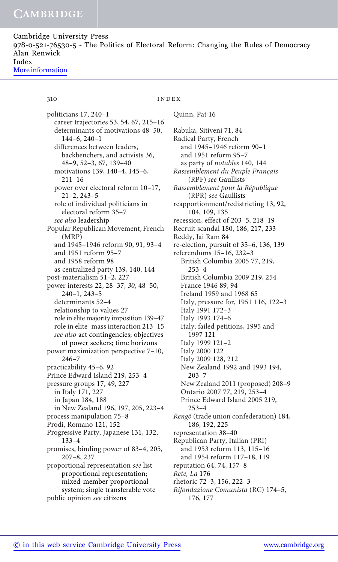Cambridge University Press 978-0-521-76530-5 - The Politics of Electoral Reform: Changing the Rules of Democracy Alan Renwick Index [More information](http://www.cambridge.org/9780521765305)

## 310 **index**

Quinn, Pat 16

politicians 17, 240–1 career trajectories 53, 54, 67, 215–16 determinants of motivations 48–50, 144–6, 240–1 differences between leaders, backbenchers, and activists 36, 48–9, 52–3, 67, 139–40 motivations 139, 140–4, 145–6, 211–16 power over electoral reform 10–17, 21–2, 243–5 role of individual politicians in electoral reform 35–7 see also leadership Popular Republican Movement, French (MRP) and 1945–1946 reform 90, 91, 93–4 and 1951 reform 95–7 and 1958 reform 98 as centralized party 139, 140, 144 post-materialism 51–2, 227 power interests 22, 28–37, 30, 48–50, 240–1, 243–5 determinants 52–4 relationship to values 27 role in elite majority imposition 139–47 role in elite–mass interaction 213–15 see also act contingencies; objectives of power seekers; time horizons power maximization perspective 7–10, 246–7 practicability 45–6, 92 Prince Edward Island 219, 253–4 pressure groups 17, 49, 227 in Italy 171, 227 in Japan 184, 188 in New Zealand 196, 197, 205, 223–4 process manipulation 75–8 Prodi, Romano 121, 152 Progressive Party, Japanese 131, 132, 133–4 promises, binding power of 83–4, 205, 207–8, 237 proportional representation see list proportional representation; mixed-member proportional system; single transferable vote public opinion see citizens

Rabuka, Sitiveni 71, 84 Radical Party, French and 1945–1946 reform 90–1 and 1951 reform 95–7 as party of notables 140, 144 Rassemblement du Peuple Français (RPF) see Gaullists Rassemblement pour la République (RPR) see Gaullists reapportionment/redistricting 13, 92, 104, 109, 135 recession, effect of 203–5, 218–19 Recruit scandal 180, 186, 217, 233 Reddy, Jai Ram 84 re-election, pursuit of 35–6, 136, 139 referendums 15–16, 232–3 British Columbia 2005 77, 219, 253–4 British Columbia 2009 219, 254 France 1946 89, 94 Ireland 1959 and 1968 65 Italy, pressure for, 1951 116, 122–3 Italy 1991 172–3 Italy 1993 174–6 Italy, failed petitions, 1995 and 1997 121 Italy 1999 121–2 Italy 2000 122 Italy 2009 128, 212 New Zealand 1992 and 1993 194, 203–7 New Zealand 2011 (proposed) 208–9 Ontario 2007 77, 219, 253–4 Prince Edward Island 2005 219, 253–4 Rengō (trade union confederation) 184, 186, 192, 225 representation 38–40 Republican Party, Italian (PRI) and 1953 reform 113, 115–16 and 1954 reform 117–18, 119 reputation 64, 74, 157–8 Rete, La 176 rhetoric 72–3, 156, 222–3 Rifondazione Comunista (RC) 174–5,

176, 177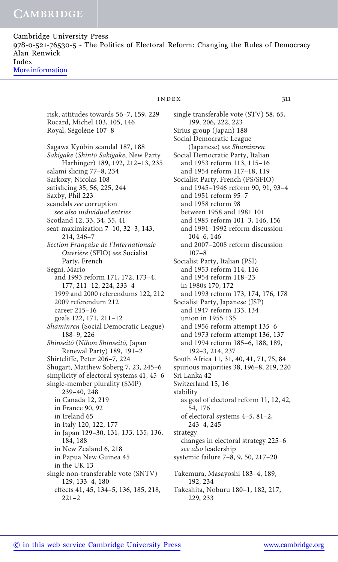Cambridge University Press 978-0-521-76530-5 - The Politics of Electoral Reform: Changing the Rules of Democracy Alan Renwick Index [More information](http://www.cambridge.org/9780521765305)

## $INDEX$  311

risk, attitudes towards 56–7, 159, 229 Rocard, Michel 103, 105, 146 Royal, Ségolène 107–8 Sagawa Kyūbin scandal 187, 188 Sakigake (Shintō Sakigake, New Party Harbinger) 189, 192, 212–13, 235 salami slicing 77–8, 234 Sarkozy, Nicolas 108 satisficing 35, 56, 225, 244 Saxby, Phil 223 scandals see corruption see also individual entries Scotland 12, 33, 34, 35, 41 seat-maximization 7–10, 32–3, 143, 214, 246–7 Section Française de l'Internationale Ouvrière (SFIO) see Socialist Party, French Segni, Mario and 1993 reform 171, 172, 173–4, 177, 211–12, 224, 233–4 1999 and 2000 referendums 122, 212 2009 referendum 212 career 215–16 goals 122, 171, 211–12 Shaminren (Social Democratic League) 188–9, 226 Shinseitō (Nihon Shinseitō, Japan Renewal Party) 189, 191–2 Shirtcliffe, Peter 206–7, 224 Shugart, Matthew Soberg 7, 23, 245–6 simplicity of electoral systems 41, 45–6 single-member plurality (SMP) 239–40, 248 in Canada 12, 219 in France 90, 92 in Ireland 65 in Italy 120, 122, 177 in Japan 129–30, 131, 133, 135, 136, 184, 188 in New Zealand 6, 218 in Papua New Guinea 45 in the UK 13 single non-transferable vote (SNTV) 129, 133–4, 180 effects 41, 45, 134–5, 136, 185, 218,

single transferable vote (STV) 58, 65, 199, 206, 222, 223 Sirius group (Japan) 188 Social Democratic League (Japanese) see Shaminren Social Democratic Party, Italian and 1953 reform 113, 115–16 and 1954 reform 117–18, 119 Socialist Party, French (PS/SFIO) and 1945–1946 reform 90, 91, 93–4 and 1951 reform 95–7 and 1958 reform 98 between 1958 and 1981 101 and 1985 reform 101–3, 146, 156 and 1991–1992 reform discussion 104–6, 146 and 2007–2008 reform discussion 107–8 Socialist Party, Italian (PSI) and 1953 reform 114, 116 and 1954 reform 118–23 in 1980s 170, 172 and 1993 reform 173, 174, 176, 178 Socialist Party, Japanese (JSP) and 1947 reform 133, 134 union in 1955 135 and 1956 reform attempt 135–6 and 1973 reform attempt 136, 137 and 1994 reform 185–6, 188, 189, 192–3, 214, 237 South Africa 11, 31, 40, 41, 71, 75, 84 spurious majorities 38, 196–8, 219, 220 Sri Lanka 42 Switzerland 15, 16 stability as goal of electoral reform 11, 12, 42, 54, 176 of electoral systems 4–5, 81–2, 243–4, 245 strategy changes in electoral strategy 225–6 see also leadership systemic failure 7–8, 9, 50, 217–20 Takemura, Masayoshi 183–4, 189, 192, 234

Takeshita, Noburu 180–1, 182, 217, 229, 233

221–2